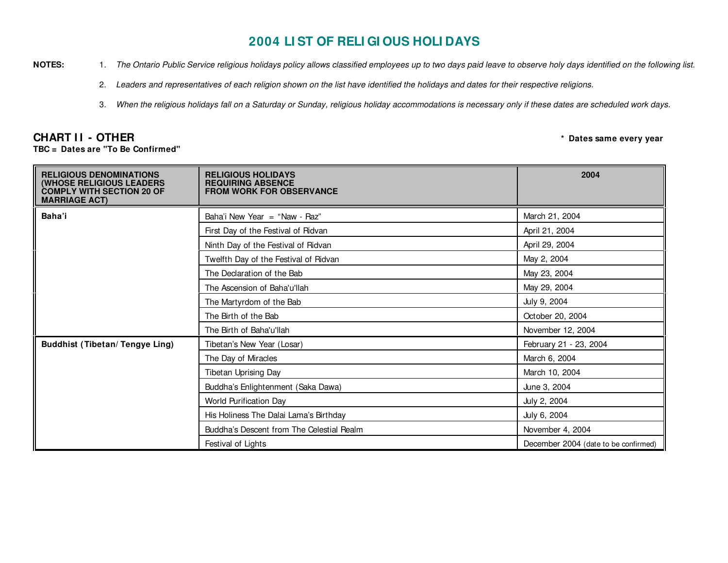## **2004 LI ST OF RELI GI OUS HOLI DAYS**

- **NOTES:**: 1. The Ontario Public Service religious holidays policy allows classified employees up to two days paid leave to observe holy days identified on the following list.
	- 2. Leaders and representatives of each religion shown on the list have identified the holidays and dates for their respective religions.
	- 3.. When the religious holidays fall on a Saturday or Sunday, religious holiday accommodations is necessary only if these dates are scheduled work days.

## **CHART I I - OTHER**

**TBC <sup>=</sup> Dates are "To Be Confirmed"**

**\* Dates same every year**

| <b>RELIGIOUS DENOMINATIONS</b><br>(WHOSE RELIGIOUS LEADERS<br><b>COMPLY WITH SECTION 20 OF</b><br><b>MARRIAGE ACT)</b> | <b>RELIGIOUS HOLIDAYS</b><br><b>REQUIRING ABSENCE</b><br><b>FROM WORK FOR OBSERVANCE</b> | 2004                                 |
|------------------------------------------------------------------------------------------------------------------------|------------------------------------------------------------------------------------------|--------------------------------------|
| Baha'i                                                                                                                 | Baha'i New Year = "Naw - Raz"                                                            | March 21, 2004                       |
|                                                                                                                        | First Day of the Festival of Ridvan                                                      | April 21, 2004                       |
|                                                                                                                        | Ninth Day of the Festival of Ridvan                                                      | April 29, 2004                       |
|                                                                                                                        | Twelfth Day of the Festival of Ridvan                                                    | May 2, 2004                          |
|                                                                                                                        | The Declaration of the Bab                                                               | May 23, 2004                         |
|                                                                                                                        | The Ascension of Baha'u'llah                                                             | May 29, 2004                         |
|                                                                                                                        | The Martyrdom of the Bab                                                                 | July 9, 2004                         |
|                                                                                                                        | The Birth of the Bab                                                                     | October 20, 2004                     |
|                                                                                                                        | The Birth of Baha'u'llah                                                                 | November 12, 2004                    |
| <b>Buddhist (Tibetan/Tengye Ling)</b>                                                                                  | Tibetan's New Year (Losar)                                                               | February 21 - 23, 2004               |
|                                                                                                                        | The Day of Miracles                                                                      | March 6, 2004                        |
|                                                                                                                        | Tibetan Uprising Day                                                                     | March 10, 2004                       |
|                                                                                                                        | Buddha's Enlightenment (Saka Dawa)                                                       | June 3, 2004                         |
|                                                                                                                        | World Purification Day                                                                   | July 2, 2004                         |
|                                                                                                                        | His Holiness The Dalai Lama's Birthday                                                   | July 6, 2004                         |
|                                                                                                                        | Buddha's Descent from The Celestial Realm                                                | November 4, 2004                     |
|                                                                                                                        | Festival of Lights                                                                       | December 2004 (date to be confirmed) |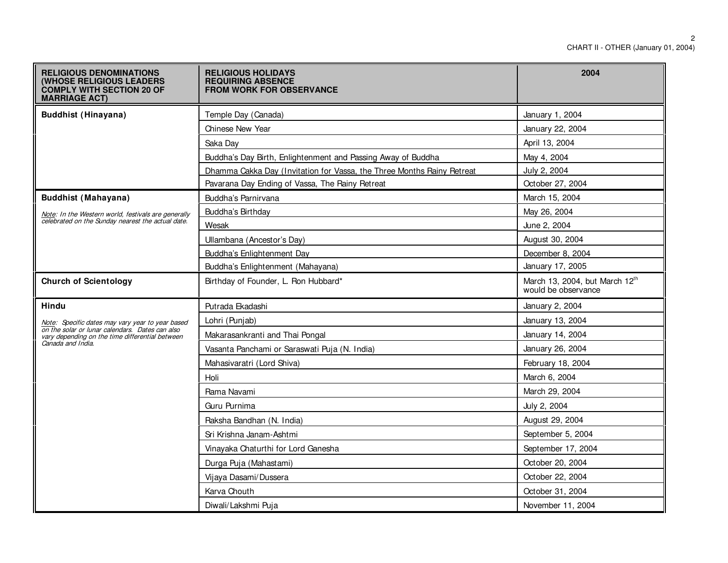| <b>RELIGIOUS DENOMINATIONS</b><br><b>(WHOSE RELIGIOUS LEADERS</b><br><b>COMPLY WITH SECTION 20 OF</b><br><b>MARRIAGE ACT)</b> | <b>RELIGIOUS HOLIDAYS</b><br><b>REQUIRING ABSENCE</b><br><b>FROM WORK FOR OBSERVANCE</b> | 2004                                                  |
|-------------------------------------------------------------------------------------------------------------------------------|------------------------------------------------------------------------------------------|-------------------------------------------------------|
| <b>Buddhist (Hinayana)</b>                                                                                                    | Temple Day (Canada)                                                                      | January 1, 2004                                       |
|                                                                                                                               | <b>Chinese New Year</b>                                                                  | January 22, 2004                                      |
|                                                                                                                               | Saka Day                                                                                 | April 13, 2004                                        |
|                                                                                                                               | Buddha's Day Birth, Enlightenment and Passing Away of Buddha                             | May 4, 2004                                           |
|                                                                                                                               | Dhamma Cakka Day (Invitation for Vassa, the Three Months Rainy Retreat                   | July 2, 2004                                          |
|                                                                                                                               | Pavarana Day Ending of Vassa, The Rainy Retreat                                          | October 27, 2004                                      |
| <b>Buddhist (Mahayana)</b>                                                                                                    | Buddha's Parnirvana                                                                      | March 15, 2004                                        |
| Note: In the Western world, festivals are generally                                                                           | Buddha's Birthday                                                                        | May 26, 2004                                          |
| celebrated on the Sunday nearest the actual date.                                                                             | Wesak                                                                                    | June 2, 2004                                          |
|                                                                                                                               | Ullambana (Ancestor's Day)                                                               | August 30, 2004                                       |
|                                                                                                                               | Buddha's Enlightenment Day                                                               | December 8, 2004                                      |
|                                                                                                                               | Buddha's Enlightenment (Mahayana)                                                        | January 17, 2005                                      |
| <b>Church of Scientology</b>                                                                                                  | Birthday of Founder, L. Ron Hubbard*                                                     | March 13, 2004, but March 12th<br>would be observance |
| <b>Hindu</b>                                                                                                                  | Putrada Ekadashi                                                                         | January 2, 2004                                       |
| <u>Note</u> : Specific dates may vary year to year based<br>on the solar or lunar calendars. Dates can also                   | Lohri (Punjab)                                                                           | January 13, 2004                                      |
| vary depending on the time differential between                                                                               | Makarasankranti and Thai Pongal                                                          | January 14, 2004                                      |
| Canada and India.                                                                                                             | Vasanta Panchami or Saraswati Puja (N. India)                                            | January 26, 2004                                      |
|                                                                                                                               | Mahasivaratri (Lord Shiva)                                                               | February 18, 2004                                     |
|                                                                                                                               | Holi                                                                                     | March 6, 2004                                         |
|                                                                                                                               | Rama Navami                                                                              | March 29, 2004                                        |
|                                                                                                                               | Guru Purnima                                                                             | July 2, 2004                                          |
|                                                                                                                               | Raksha Bandhan (N. India)                                                                | August 29, 2004                                       |
|                                                                                                                               | Sri Krishna Janam-Ashtmi                                                                 | September 5, 2004                                     |
|                                                                                                                               | Vinayaka Chaturthi for Lord Ganesha                                                      | September 17, 2004                                    |
|                                                                                                                               | Durga Puja (Mahastami)                                                                   | October 20, 2004                                      |
|                                                                                                                               | Vijaya Dasami/Dussera                                                                    | October 22, 2004                                      |
|                                                                                                                               | Karva Chouth                                                                             | October 31, 2004                                      |
|                                                                                                                               | Diwali/Lakshmi Puja                                                                      | November 11, 2004                                     |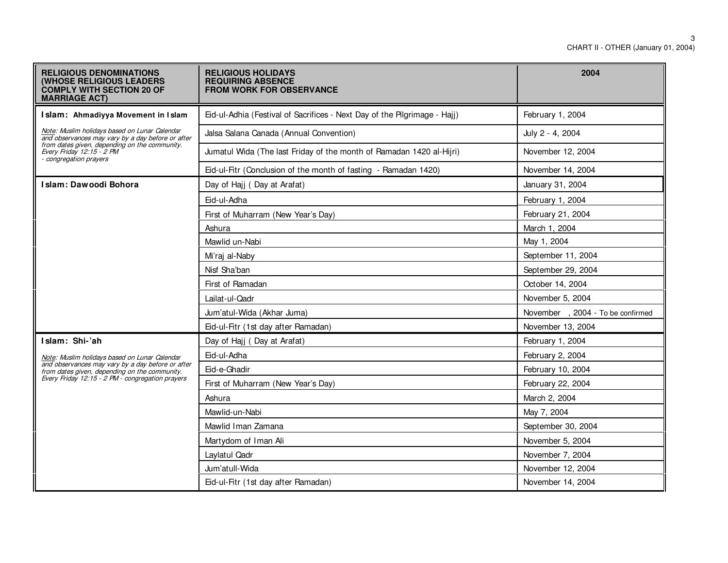| <b>RELIGIOUS DENOMINATIONS</b><br><b>(WHOSE RELIGIOUS LEADERS)</b><br><b>COMPLY WITH SECTION 20 OF</b><br><b>MARRIAGE ACT)</b> | <b>RELIGIOUS HOLIDAYS</b><br><b>REQUIRING ABSENCE</b><br><b>FROM WORK FOR OBSERVANCE</b> | 2004                             |
|--------------------------------------------------------------------------------------------------------------------------------|------------------------------------------------------------------------------------------|----------------------------------|
| Islam: Ahmadiyya Movement in Islam                                                                                             | Eid-ul-Adhia (Festival of Sacrifices - Next Day of the Pilgrimage - Hajj)                | February 1, 2004                 |
| Note: Muslim holidays based on Lunar Calendar<br>and observances may vary by a day before or after                             | Jalsa Salana Canada (Annual Convention)                                                  | July 2 - 4, 2004                 |
| from dates given, depending on the community.<br>Every Friday 12:15 - 2 PM<br>- congregation prayers                           | Jumatul Wida (The last Friday of the month of Ramadan 1420 al-Hijri)                     | November 12, 2004                |
|                                                                                                                                | Eid-ul-Fitr (Conclusion of the month of fasting - Ramadan 1420)                          | November 14, 2004                |
| Islam: Dawoodi Bohora                                                                                                          | Day of Hajj (Day at Arafat)                                                              | January 31, 2004                 |
|                                                                                                                                | Eid-ul-Adha                                                                              | February 1, 2004                 |
|                                                                                                                                | First of Muharram (New Year's Day)                                                       | February 21, 2004                |
|                                                                                                                                | Ashura                                                                                   | March 1, 2004                    |
|                                                                                                                                | Mawlid un-Nabi                                                                           | May 1, 2004                      |
|                                                                                                                                | Mi'raj al-Naby                                                                           | September 11, 2004               |
|                                                                                                                                | Nisf Sha'ban                                                                             | September 29, 2004               |
|                                                                                                                                | First of Ramadan                                                                         | October 14, 2004                 |
|                                                                                                                                | Lailat-ul-Qadr                                                                           | November 5, 2004                 |
|                                                                                                                                | Jum'atul-Wida (Akhar Juma)                                                               | November, 2004 - To be confirmed |
|                                                                                                                                | Eid-ul-Fitr (1st day after Ramadan)                                                      | November 13, 2004                |
| Islam: Shi-'ah                                                                                                                 | Day of Hajj (Day at Arafat)                                                              | February 1, 2004                 |
| Note: Muslim holidays based on Lunar Calendar                                                                                  | Eid-ul-Adha                                                                              | February 2, 2004                 |
| and observances may vary by a day before or after<br>from dates given, depending on the community.                             | Eid-e-Ghadir                                                                             | February 10, 2004                |
| Every Friday 12:15 - 2 PM - congregation prayers                                                                               | First of Muharram (New Year's Day)                                                       | February 22, 2004                |
|                                                                                                                                | Ashura                                                                                   | March 2, 2004                    |
|                                                                                                                                | Mawlid-un-Nabi                                                                           | May 7, 2004                      |
|                                                                                                                                | Mawlid Iman Zamana                                                                       | September 30, 2004               |
|                                                                                                                                | Martydom of Iman Ali                                                                     | November 5, 2004                 |
|                                                                                                                                | Laylatul Qadr                                                                            | November 7, 2004                 |
|                                                                                                                                | Jum'atull-Wida                                                                           | November 12, 2004                |
|                                                                                                                                | Eid-ul-Fitr (1st day after Ramadan)                                                      | November 14, 2004                |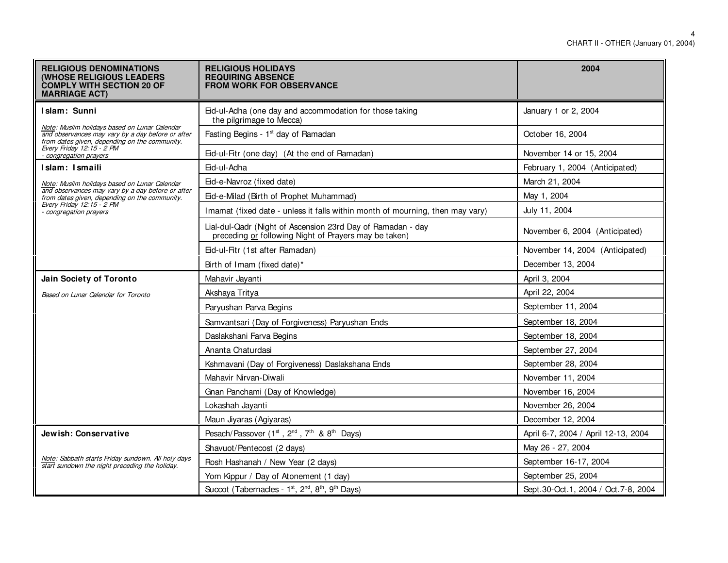| <b>RELIGIOUS DENOMINATIONS</b><br><b>(WHOSE RELIGIOUS LEADERS</b><br><b>COMPLY WITH SECTION 20 OF</b><br><b>MARRIAGE ACT)</b>                                       | <b>RELIGIOUS HOLIDAYS</b><br><b>REQUIRING ABSENCE</b><br><b>FROM WORK FOR OBSERVANCE</b>                             | 2004                                |
|---------------------------------------------------------------------------------------------------------------------------------------------------------------------|----------------------------------------------------------------------------------------------------------------------|-------------------------------------|
| Islam: Sunni<br>Note: Muslim holidays based on Lunar Calendar<br>and observances may vary by a day before or after<br>from dates given, depending on the community. | Eid-ul-Adha (one day and accommodation for those taking<br>the pilgrimage to Mecca)                                  | January 1 or 2, 2004                |
|                                                                                                                                                                     | Fasting Begins - 1 <sup>st</sup> day of Ramadan                                                                      | October 16, 2004                    |
| Every Friday 12:15 - 2 PM<br>congregation prayers                                                                                                                   | Eid-ul-Fitr (one day) (At the end of Ramadan)                                                                        | November 14 or 15, 2004             |
| Islam: Ismaili                                                                                                                                                      | Eid-ul-Adha                                                                                                          | February 1, 2004 (Anticipated)      |
| Note: Muslim holidays based on Lunar Calendar                                                                                                                       | Eid-e-Navroz (fixed date)                                                                                            | March 21, 2004                      |
| and observances may vary by a day before or after<br>from dates given, depending on the community.<br>Every Friday 12:15 - 2 PM                                     | Eid-e-Milad (Birth of Prophet Muhammad)                                                                              | May 1, 2004                         |
| - congregation prayers                                                                                                                                              | Imamat (fixed date - unless it falls within month of mourning, then may vary)                                        | July 11, 2004                       |
|                                                                                                                                                                     | Lial-dul-Qadr (Night of Ascension 23rd Day of Ramadan - day<br>preceding or following Night of Prayers may be taken) | November 6, 2004 (Anticipated)      |
|                                                                                                                                                                     | Eid-ul-Fitr (1st after Ramadan)                                                                                      | November 14, 2004 (Anticipated)     |
|                                                                                                                                                                     | Birth of Imam (fixed date)*                                                                                          | December 13, 2004                   |
| Jain Society of Toronto                                                                                                                                             | Mahavir Jayanti                                                                                                      | April 3, 2004                       |
| Based on Lunar Calendar for Toronto                                                                                                                                 | Akshaya Tritya                                                                                                       | April 22, 2004                      |
|                                                                                                                                                                     | Paryushan Parva Begins                                                                                               | September 11, 2004                  |
|                                                                                                                                                                     | Samvantsari (Day of Forgiveness) Paryushan Ends                                                                      | September 18, 2004                  |
|                                                                                                                                                                     | Daslakshani Farva Begins                                                                                             | September 18, 2004                  |
|                                                                                                                                                                     | Ananta Chaturdasi                                                                                                    | September 27, 2004                  |
|                                                                                                                                                                     | Kshmavani (Day of Forgiveness) Daslakshana Ends                                                                      | September 28, 2004                  |
|                                                                                                                                                                     | Mahavir Nirvan-Diwali                                                                                                | November 11, 2004                   |
|                                                                                                                                                                     | Gnan Panchami (Day of Knowledge)                                                                                     | November 16, 2004                   |
|                                                                                                                                                                     | Lokashah Jayanti                                                                                                     | November 26, 2004                   |
|                                                                                                                                                                     | Maun Jiyaras (Agiyaras)                                                                                              | December 12, 2004                   |
| Jewish: Conservative                                                                                                                                                | Pesach/Passover (1 <sup>st</sup> , 2 <sup>nd</sup> , 7 <sup>th</sup> & 8 <sup>th</sup> Days)                         | April 6-7, 2004 / April 12-13, 2004 |
| Note: Sabbath starts Friday sundown. All holy days<br>start sundown the night preceding the holiday.                                                                | Shavuot/Pentecost (2 days)                                                                                           | May 26 - 27, 2004                   |
|                                                                                                                                                                     | Rosh Hashanah / New Year (2 days)                                                                                    | September 16-17, 2004               |
|                                                                                                                                                                     | Yom Kippur / Day of Atonement (1 day)                                                                                | September 25, 2004                  |
|                                                                                                                                                                     | Succot (Tabernacles - 1st, 2 <sup>nd</sup> , 8 <sup>th</sup> , 9 <sup>th</sup> Days)                                 | Sept.30-Oct.1, 2004 / Oct.7-8, 2004 |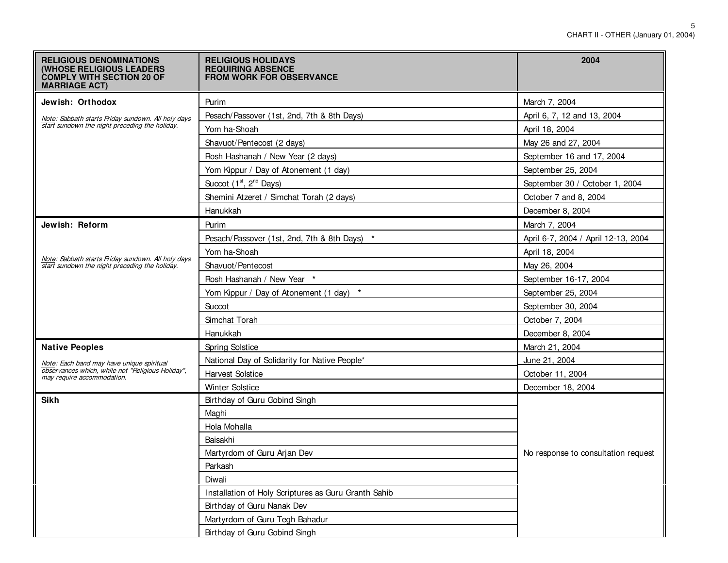| <b>RELIGIOUS DENOMINATIONS</b><br><b>(WHOSE RELIGIOUS LEADERS)</b><br><b>COMPLY WITH SECTION 20 OF</b><br><b>MARRIAGE ACT)</b> | <b>RELIGIOUS HOLIDAYS</b><br><b>REQUIRING ABSENCE</b><br><b>FROM WORK FOR OBSERVANCE</b> | 2004                                |
|--------------------------------------------------------------------------------------------------------------------------------|------------------------------------------------------------------------------------------|-------------------------------------|
| Jewish: Orthodox                                                                                                               | Purim                                                                                    | March 7, 2004                       |
| Note: Sabbath starts Friday sundown. All holy days                                                                             | Pesach/Passover (1st, 2nd, 7th & 8th Days)                                               | April 6, 7, 12 and 13, 2004         |
| start sundown the night preceding the holiday.                                                                                 | Yom ha-Shoah                                                                             | April 18, 2004                      |
|                                                                                                                                | Shavuot/Pentecost (2 days)                                                               | May 26 and 27, 2004                 |
|                                                                                                                                | Rosh Hashanah / New Year (2 days)                                                        | September 16 and 17, 2004           |
|                                                                                                                                | Yom Kippur / Day of Atonement (1 day)                                                    | September 25, 2004                  |
|                                                                                                                                | Succot (1 <sup>st</sup> , 2 <sup>nd</sup> Days)                                          | September 30 / October 1, 2004      |
|                                                                                                                                | Shemini Atzeret / Simchat Torah (2 days)                                                 | October 7 and 8, 2004               |
|                                                                                                                                | Hanukkah                                                                                 | December 8, 2004                    |
| Jewish: Reform                                                                                                                 | Purim                                                                                    | March 7, 2004                       |
|                                                                                                                                | Pesach/Passover (1st, 2nd, 7th & 8th Days) *                                             | April 6-7, 2004 / April 12-13, 2004 |
|                                                                                                                                | Yom ha-Shoah                                                                             | April 18, 2004                      |
| Note: Sabbath starts Friday sundown. All holy days<br>start sundown the night preceding the holiday.                           | Shavuot/Pentecost                                                                        | May 26, 2004                        |
|                                                                                                                                | Rosh Hashanah / New Year *                                                               | September 16-17, 2004               |
|                                                                                                                                | Yom Kippur / Day of Atonement (1 day) *                                                  | September 25, 2004                  |
|                                                                                                                                | Succot                                                                                   | September 30, 2004                  |
|                                                                                                                                | Simchat Torah                                                                            | October 7, 2004                     |
|                                                                                                                                | Hanukkah                                                                                 | December 8, 2004                    |
| <b>Native Peoples</b>                                                                                                          | Spring Solstice                                                                          | March 21, 2004                      |
| Note: Each band may have unique spiritual                                                                                      | National Day of Solidarity for Native People*                                            | June 21, 2004                       |
| observances which, while not "Religious Holiday",<br>may require accommodation.                                                | <b>Harvest Solstice</b>                                                                  | October 11, 2004                    |
|                                                                                                                                | <b>Winter Solstice</b>                                                                   | December 18, 2004                   |
| <b>Sikh</b>                                                                                                                    | Birthday of Guru Gobind Singh                                                            |                                     |
|                                                                                                                                | Maghi                                                                                    |                                     |
|                                                                                                                                | Hola Mohalla                                                                             |                                     |
|                                                                                                                                | Baisakhi                                                                                 |                                     |
|                                                                                                                                | Martyrdom of Guru Arjan Dev                                                              | No response to consultation request |
|                                                                                                                                | Parkash                                                                                  |                                     |
|                                                                                                                                | Diwali                                                                                   |                                     |
|                                                                                                                                | Installation of Holy Scriptures as Guru Granth Sahib                                     |                                     |
|                                                                                                                                | Birthday of Guru Nanak Dev                                                               |                                     |
|                                                                                                                                | Martyrdom of Guru Tegh Bahadur                                                           |                                     |
|                                                                                                                                | Birthday of Guru Gobind Singh                                                            |                                     |